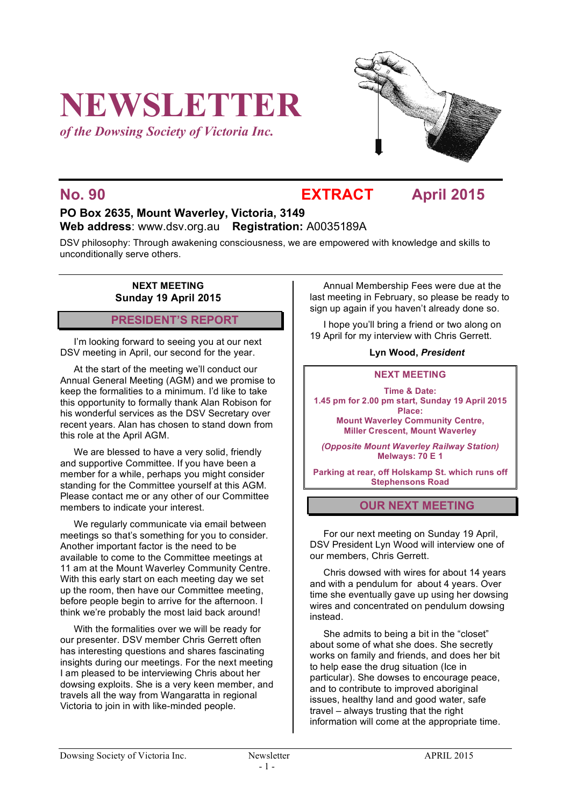# **NEWSLETTER**

*of the Dowsing Society of Victoria Inc.*



### **No. 90 EXTRACT April 2015**

#### **PO Box 2635, Mount Waverley, Victoria, 3149 Web address**: www.dsv.org.au **Registration:** A0035189A

DSV philosophy: Through awakening consciousness, we are empowered with knowledge and skills to unconditionally serve others.

#### **NEXT MEETING Sunday 19 April 2015**

#### **PRESIDENT'S REPORT**

I'm looking forward to seeing you at our next DSV meeting in April, our second for the year.

At the start of the meeting we'll conduct our Annual General Meeting (AGM) and we promise to keep the formalities to a minimum. I'd like to take this opportunity to formally thank Alan Robison for his wonderful services as the DSV Secretary over recent years. Alan has chosen to stand down from this role at the April AGM.

We are blessed to have a very solid, friendly and supportive Committee. If you have been a member for a while, perhaps you might consider standing for the Committee yourself at this AGM. Please contact me or any other of our Committee members to indicate your interest.

We regularly communicate via email between meetings so that's something for you to consider. Another important factor is the need to be available to come to the Committee meetings at 11 am at the Mount Waverley Community Centre. With this early start on each meeting day we set up the room, then have our Committee meeting, before people begin to arrive for the afternoon. I think we're probably the most laid back around!

With the formalities over we will be ready for our presenter. DSV member Chris Gerrett often has interesting questions and shares fascinating insights during our meetings. For the next meeting I am pleased to be interviewing Chris about her dowsing exploits. She is a very keen member, and travels all the way from Wangaratta in regional Victoria to join in with like-minded people.

Annual Membership Fees were due at the last meeting in February, so please be ready to sign up again if you haven't already done so.

I hope you'll bring a friend or two along on 19 April for my interview with Chris Gerrett.

#### **Lyn Wood,** *President*

#### **NEXT MEETING**

**Time & Date: 1.45 pm for 2.00 pm start, Sunday 19 April 2015 Place: Mount Waverley Community Centre, Miller Crescent, Mount Waverley**

*(Opposite Mount Waverley Railway Station)* **Melways: 70 E 1**

**Parking at rear, off Holskamp St. which runs off Stephensons Road**

#### **OUR NEXT MEETING**

For our next meeting on Sunday 19 April, DSV President Lyn Wood will interview one of our members, Chris Gerrett.

Chris dowsed with wires for about 14 years and with a pendulum for about 4 years. Over time she eventually gave up using her dowsing wires and concentrated on pendulum dowsing instead.

She admits to being a bit in the "closet" about some of what she does. She secretly works on family and friends, and does her bit to help ease the drug situation (Ice in particular). She dowses to encourage peace, and to contribute to improved aboriginal issues, healthy land and good water, safe travel – always trusting that the right information will come at the appropriate time.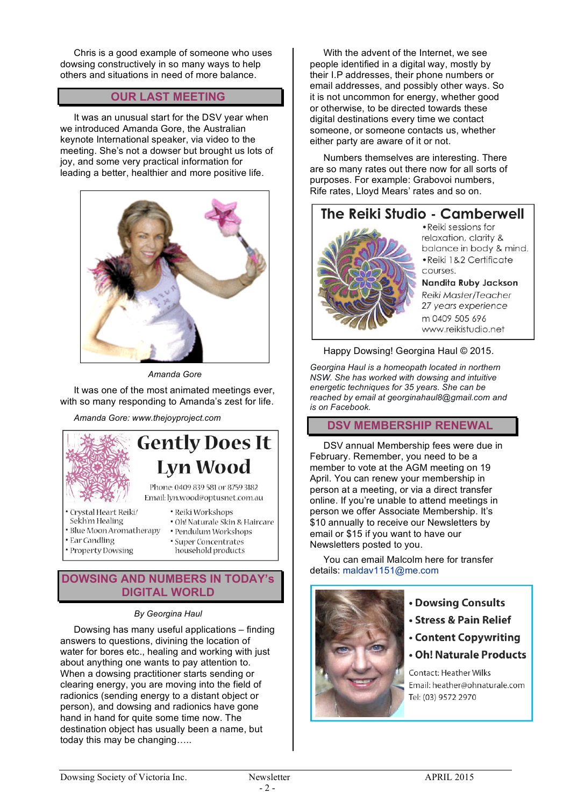Chris is a good example of someone who uses dowsing constructively in so many ways to help others and situations in need of more balance.

#### **OUR LAST MEETING**

It was an unusual start for the DSV year when we introduced Amanda Gore, the Australian keynote International speaker, via video to the meeting. She's not a dowser but brought us lots of joy, and some very practical information for leading a better, healthier and more positive life.



*Amanda Gore*

It was one of the most animated meetings ever, with so many responding to Amanda's zest for life.

*Amanda Gore: www.thejoyproject.com*



## **Gently Does It Lyn Wood**

Phone: 0409 839 581 or 8759 3182 Email: lyn.wood@optusnet.com.au

- Crystal Heart Reiki
- Sekh'm Healing
- · Blue Moon Aromatherapy
- Ear Candling
- · Property Dowsing
- · Reiki Workshops · Oh! Naturale Skin & Haircare · Pendulum Workshops · Super Concentrates
- household products

#### **DOWSING AND NUMBERS IN TODAY's DIGITAL WORLD**

#### *By Georgina Haul*

Dowsing has many useful applications – finding answers to questions, divining the location of water for bores etc., healing and working with just about anything one wants to pay attention to. When a dowsing practitioner starts sending or clearing energy, you are moving into the field of radionics (sending energy to a distant object or person), and dowsing and radionics have gone hand in hand for quite some time now. The destination object has usually been a name, but today this may be changing…..

With the advent of the Internet, we see people identified in a digital way, mostly by their I.P addresses, their phone numbers or email addresses, and possibly other ways. So it is not uncommon for energy, whether good or otherwise, to be directed towards these digital destinations every time we contact someone, or someone contacts us, whether either party are aware of it or not.

Numbers themselves are interesting. There are so many rates out there now for all sorts of purposes. For example: Grabovoi numbers, Rife rates, Lloyd Mears' rates and so on.

### The Reiki Studio - Camberwell



· Reiki sessions for relaxation, clarity & balance in body & mind. · Reiki 1&2 Certificate COURSes

Nandita Ruby Jackson Reiki Master/Teacher 27 years experience m 0409 505 696 www.reikistudio.net

#### Happy Dowsing! Georgina Haul © 2015.

*Georgina Haul is a homeopath located in northern NSW. She has worked with dowsing and intuitive energetic techniques for 35 years. She can be reached by email at georginahaul8@gmail.com and is on Facebook.*

#### **DSV MEMBERSHIP RENEWAL**

DSV annual Membership fees were due in February. Remember, you need to be a member to vote at the AGM meeting on 19 April. You can renew your membership in person at a meeting, or via a direct transfer online. If you're unable to attend meetings in person we offer Associate Membership. It's \$10 annually to receive our Newsletters bv email or \$15 if you want to have our Newsletters posted to you.

You can email Malcolm here for transfer details: maldav1151@me.com



- Dowsing Consults
- Stress & Pain Relief
- Content Copywriting
- · Oh! Naturale Products

Contact: Heather Wilks Email: heather@ohnaturale.com Tel: (03) 9572 2970